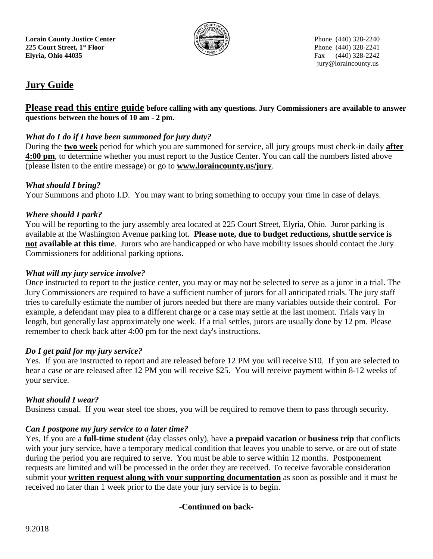

jury@loraincounty.us

# **Jury Guide**

# **Please read this entire guide before calling with any questions. Jury Commissioners are available to answer questions between the hours of 10 am - 2 pm.**

# *What do I do if I have been summoned for jury duty?*

During the **two week** period for which you are summoned for service, all jury groups must check-in daily **after 4:00 pm**, to determine whether you must report to the Justice Center. You can call the numbers listed above (please listen to the entire message) or go to **www.loraincounty.us/jury**.

## *What should I bring?*

Your Summons and photo I.D. You may want to bring something to occupy your time in case of delays.

#### *Where should I park?*

You will be reporting to the jury assembly area located at 225 Court Street, Elyria, Ohio. Juror parking is available at the Washington Avenue parking lot. **Please note, due to budget reductions, shuttle service is not available at this time**. Jurors who are handicapped or who have mobility issues should contact the Jury Commissioners for additional parking options.

## *What will my jury service involve?*

Once instructed to report to the justice center, you may or may not be selected to serve as a juror in a trial. The Jury Commissioners are required to have a sufficient number of jurors for all anticipated trials. The jury staff tries to carefully estimate the number of jurors needed but there are many variables outside their control. For example, a defendant may plea to a different charge or a case may settle at the last moment. Trials vary in length, but generally last approximately one week. If a trial settles, jurors are usually done by 12 pm. Please remember to check back after 4:00 pm for the next day's instructions.

## *Do I get paid for my jury service?*

Yes. If you are instructed to report and are released before 12 PM you will receive \$10. If you are selected to hear a case or are released after 12 PM you will receive \$25. You will receive payment within 8-12 weeks of your service.

## *What should I wear?*

Business casual. If you wear steel toe shoes, you will be required to remove them to pass through security.

## *Can I postpone my jury service to a later time?*

Yes, If you are a **full-time student** (day classes only), have **a prepaid vacation** or **business trip** that conflicts with your jury service, have a temporary medical condition that leaves you unable to serve, or are out of state during the period you are required to serve. You must be able to serve within 12 months. Postponement requests are limited and will be processed in the order they are received. To receive favorable consideration submit your **written request along with your supporting documentation** as soon as possible and it must be received no later than 1 week prior to the date your jury service is to begin.